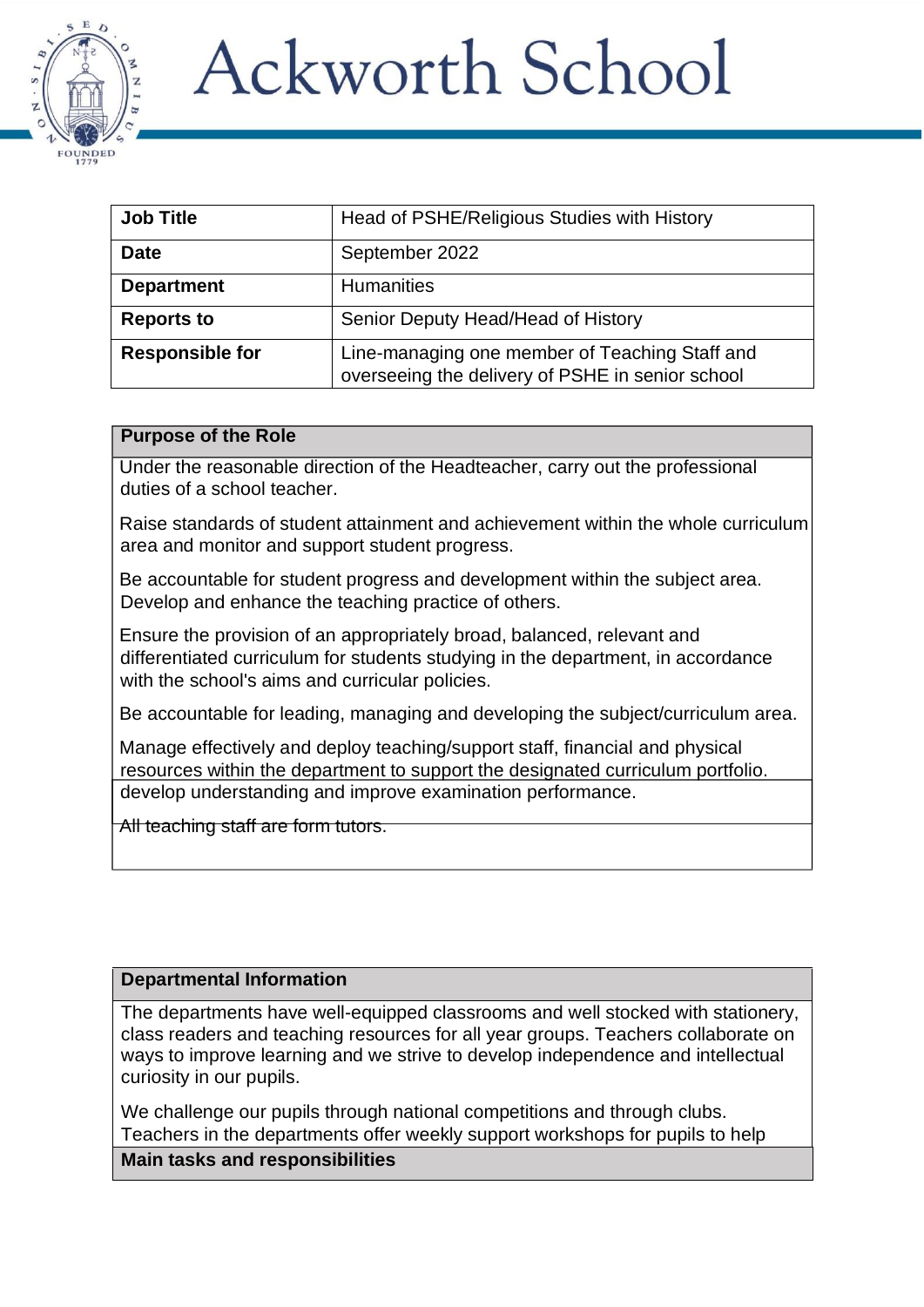# **Ackworth School**



| <b>Job Title</b>       | Head of PSHE/Religious Studies with History                                                        |
|------------------------|----------------------------------------------------------------------------------------------------|
| <b>Date</b>            | September 2022                                                                                     |
| <b>Department</b>      | <b>Humanities</b>                                                                                  |
| <b>Reports to</b>      | Senior Deputy Head/Head of History                                                                 |
| <b>Responsible for</b> | Line-managing one member of Teaching Staff and<br>overseeing the delivery of PSHE in senior school |

#### **Purpose of the Role**

Under the reasonable direction of the Headteacher, carry out the professional duties of a school teacher.

Raise standards of student attainment and achievement within the whole curriculum area and monitor and support student progress.

Be accountable for student progress and development within the subject area. Develop and enhance the teaching practice of others.

Ensure the provision of an appropriately broad, balanced, relevant and differentiated curriculum for students studying in the department, in accordance with the school's aims and curricular policies.

Be accountable for leading, managing and developing the subject/curriculum area.

Manage effectively and deploy teaching/support staff, financial and physical resources within the department to support the designated curriculum portfolio. develop understanding and improve examination performance.

All teaching staff are form tutors.

## **Departmental Information**

The departments have well-equipped classrooms and well stocked with stationery, class readers and teaching resources for all year groups. Teachers collaborate on ways to improve learning and we strive to develop independence and intellectual curiosity in our pupils.

We challenge our pupils through national competitions and through clubs. Teachers in the departments offer weekly support workshops for pupils to help

**Main tasks and responsibilities**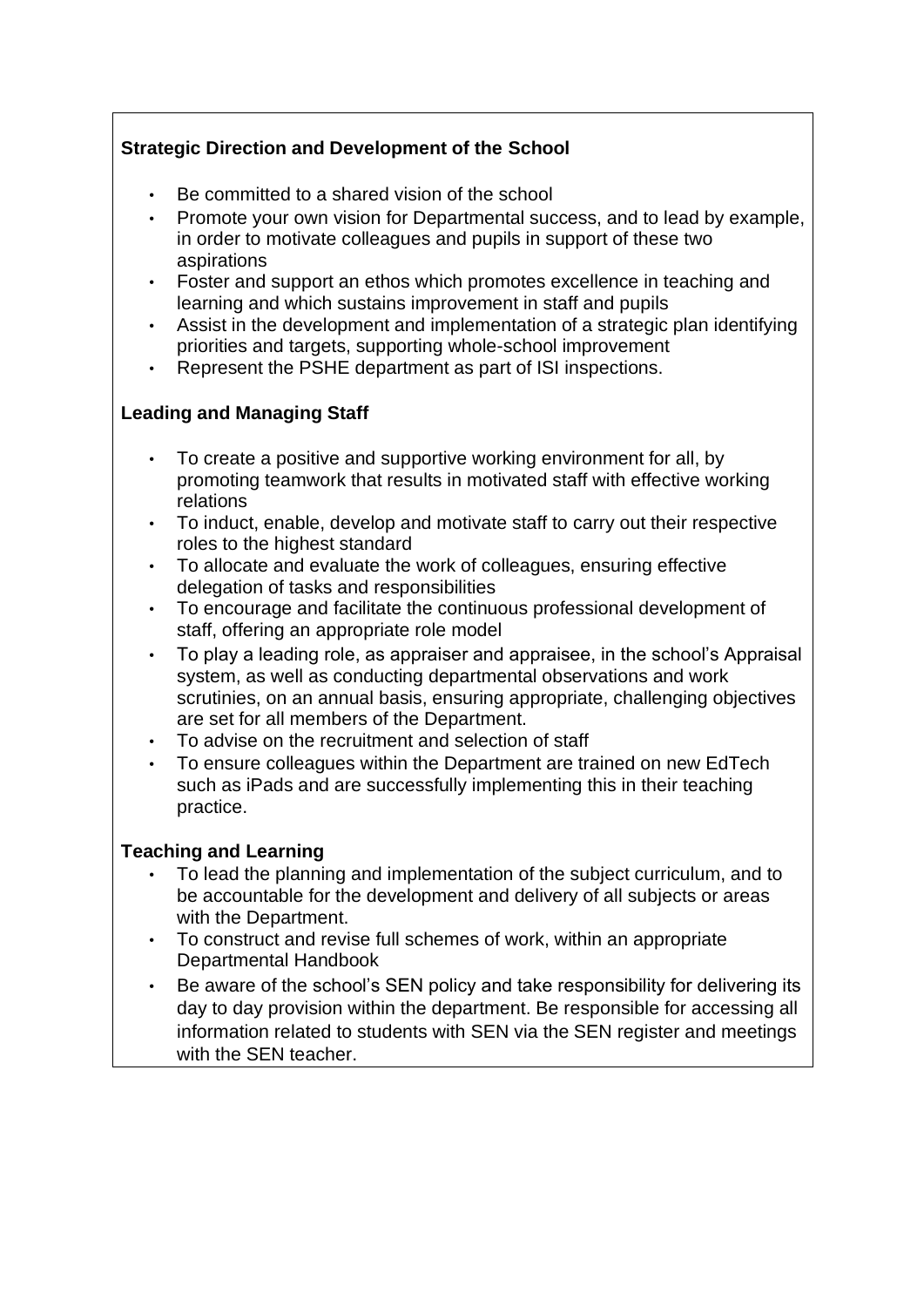# **Strategic Direction and Development of the School**

- Be committed to a shared vision of the school
- Promote your own vision for Departmental success, and to lead by example, in order to motivate colleagues and pupils in support of these two aspirations
- Foster and support an ethos which promotes excellence in teaching and learning and which sustains improvement in staff and pupils
- Assist in the development and implementation of a strategic plan identifying priorities and targets, supporting whole-school improvement
- Represent the PSHE department as part of ISI inspections.

# **Leading and Managing Staff**

- To create a positive and supportive working environment for all, by promoting teamwork that results in motivated staff with effective working relations
- To induct, enable, develop and motivate staff to carry out their respective roles to the highest standard
- To allocate and evaluate the work of colleagues, ensuring effective delegation of tasks and responsibilities
- To encourage and facilitate the continuous professional development of staff, offering an appropriate role model
- To play a leading role, as appraiser and appraisee, in the school's Appraisal system, as well as conducting departmental observations and work scrutinies, on an annual basis, ensuring appropriate, challenging objectives are set for all members of the Department.
- To advise on the recruitment and selection of staff
- To ensure colleagues within the Department are trained on new EdTech such as iPads and are successfully implementing this in their teaching practice.

## **Teaching and Learning**

- To lead the planning and implementation of the subject curriculum, and to be accountable for the development and delivery of all subjects or areas with the Department.
- To construct and revise full schemes of work, within an appropriate Departmental Handbook
- Be aware of the school's SEN policy and take responsibility for delivering its day to day provision within the department. Be responsible for accessing all information related to students with SEN via the SEN register and meetings with the SEN teacher.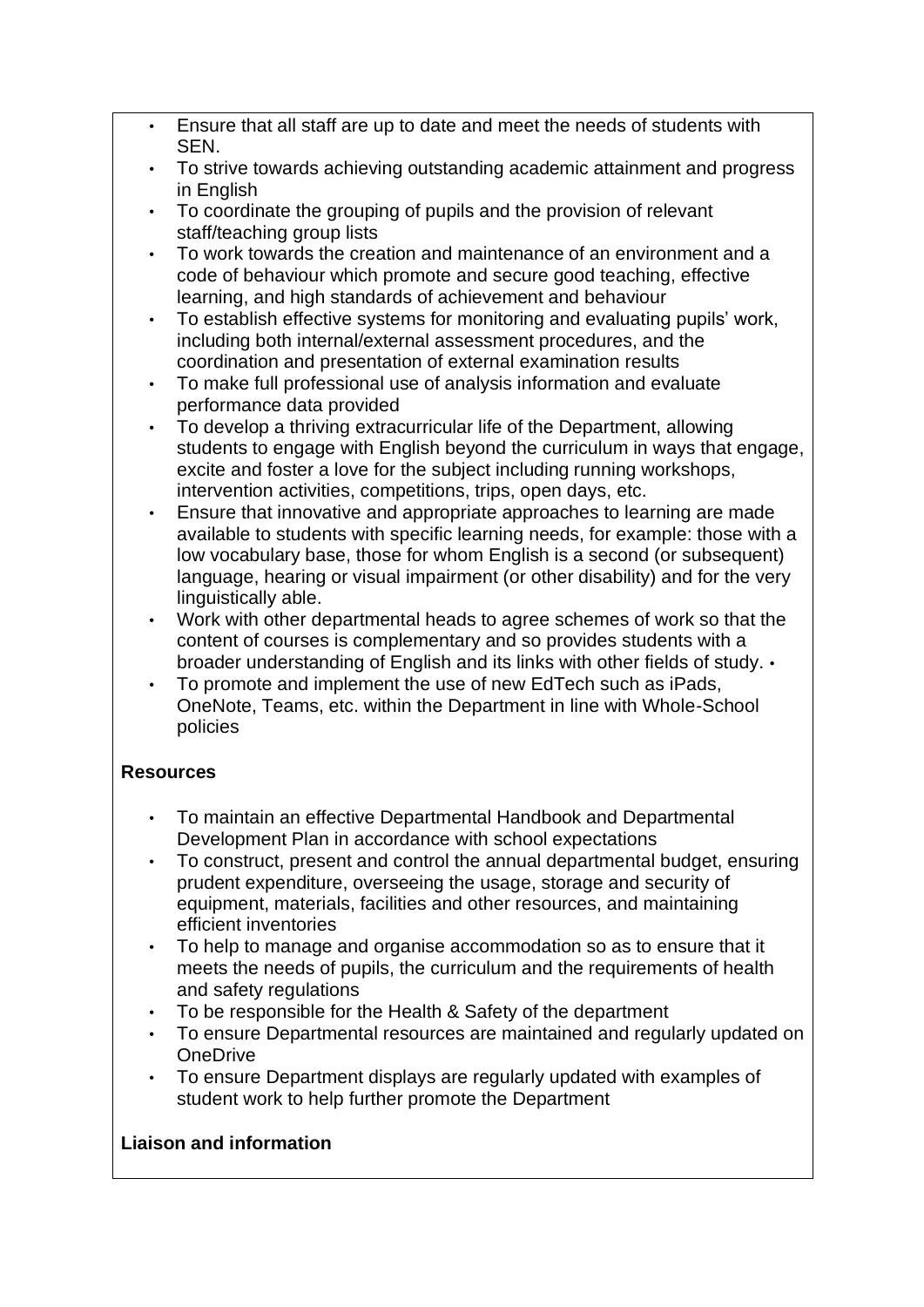- Ensure that all staff are up to date and meet the needs of students with SEN.
- To strive towards achieving outstanding academic attainment and progress in English
- To coordinate the grouping of pupils and the provision of relevant staff/teaching group lists
- To work towards the creation and maintenance of an environment and a code of behaviour which promote and secure good teaching, effective learning, and high standards of achievement and behaviour
- To establish effective systems for monitoring and evaluating pupils' work, including both internal/external assessment procedures, and the coordination and presentation of external examination results
- To make full professional use of analysis information and evaluate performance data provided
- To develop a thriving extracurricular life of the Department, allowing students to engage with English beyond the curriculum in ways that engage, excite and foster a love for the subject including running workshops, intervention activities, competitions, trips, open days, etc.
- Ensure that innovative and appropriate approaches to learning are made available to students with specific learning needs, for example: those with a low vocabulary base, those for whom English is a second (or subsequent) language, hearing or visual impairment (or other disability) and for the very linguistically able.
- Work with other departmental heads to agree schemes of work so that the content of courses is complementary and so provides students with a broader understanding of English and its links with other fields of study. •
- To promote and implement the use of new EdTech such as iPads, OneNote, Teams, etc. within the Department in line with Whole-School policies

# **Resources**

- To maintain an effective Departmental Handbook and Departmental Development Plan in accordance with school expectations
- To construct, present and control the annual departmental budget, ensuring prudent expenditure, overseeing the usage, storage and security of equipment, materials, facilities and other resources, and maintaining efficient inventories
- To help to manage and organise accommodation so as to ensure that it meets the needs of pupils, the curriculum and the requirements of health and safety regulations
- To be responsible for the Health & Safety of the department
- To ensure Departmental resources are maintained and regularly updated on OneDrive
- To ensure Department displays are regularly updated with examples of student work to help further promote the Department

# **Liaison and information**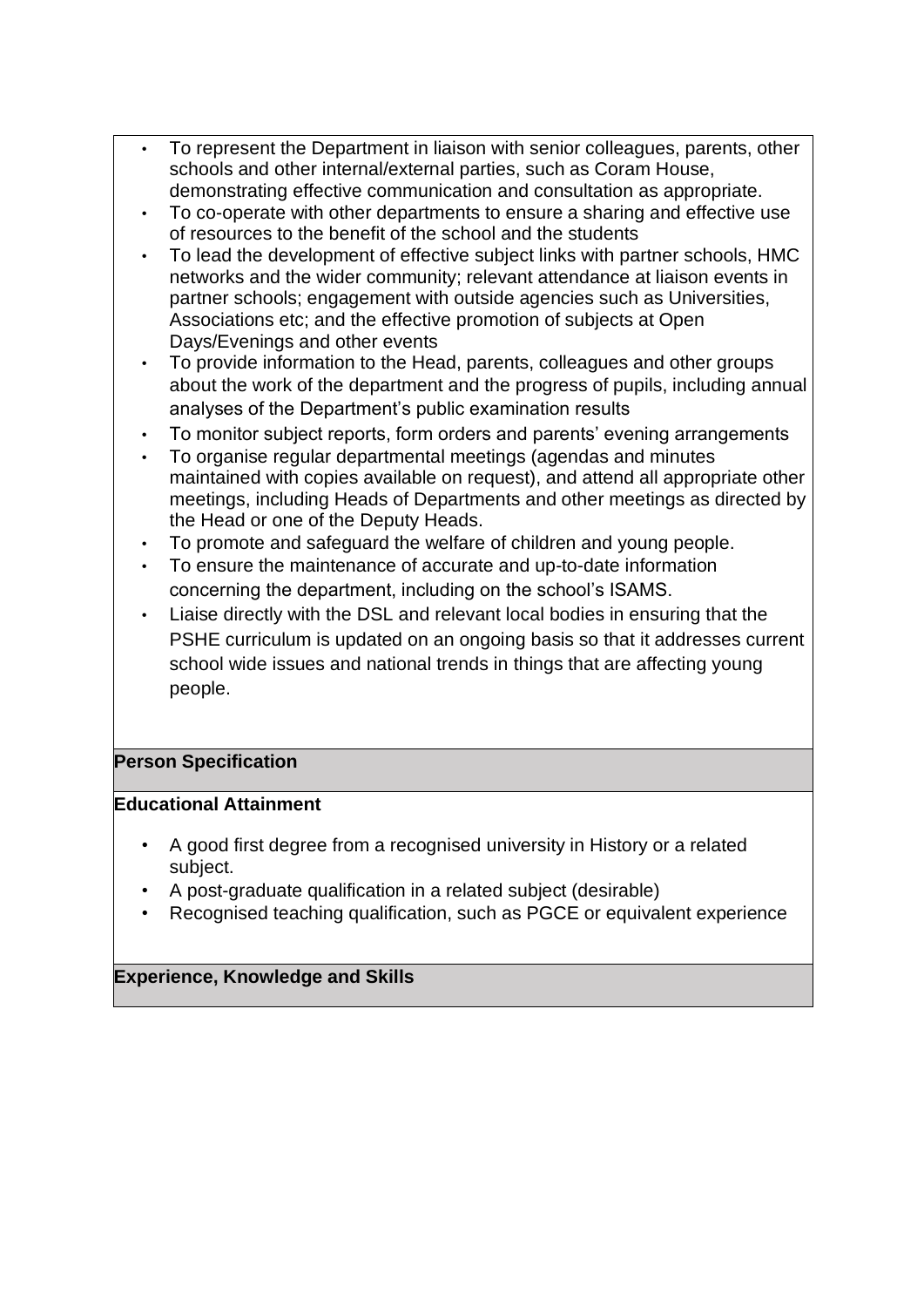- To represent the Department in liaison with senior colleagues, parents, other schools and other internal/external parties, such as Coram House, demonstrating effective communication and consultation as appropriate.
- To co-operate with other departments to ensure a sharing and effective use of resources to the benefit of the school and the students
- To lead the development of effective subject links with partner schools, HMC networks and the wider community; relevant attendance at liaison events in partner schools; engagement with outside agencies such as Universities, Associations etc; and the effective promotion of subjects at Open Days/Evenings and other events
- To provide information to the Head, parents, colleagues and other groups about the work of the department and the progress of pupils, including annual analyses of the Department's public examination results
- To monitor subject reports, form orders and parents' evening arrangements
- To organise regular departmental meetings (agendas and minutes maintained with copies available on request), and attend all appropriate other meetings, including Heads of Departments and other meetings as directed by the Head or one of the Deputy Heads.
- To promote and safeguard the welfare of children and young people.
- To ensure the maintenance of accurate and up-to-date information concerning the department, including on the school's ISAMS.
- Liaise directly with the DSL and relevant local bodies in ensuring that the PSHE curriculum is updated on an ongoing basis so that it addresses current school wide issues and national trends in things that are affecting young people.

## **Person Specification**

#### **Educational Attainment**

- A good first degree from a recognised university in History or a related subject.
- A post-graduate qualification in a related subject (desirable)
- Recognised teaching qualification, such as PGCE or equivalent experience

## **Experience, Knowledge and Skills**